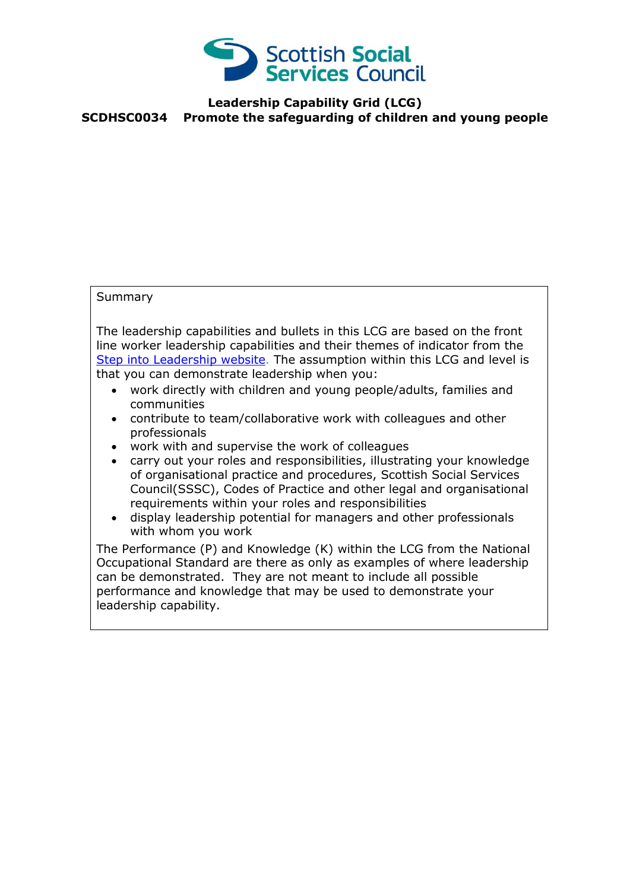

## **Leadership Capability Grid (LCG) SCDHSC0034 Promote the safeguarding of children and young people**

## **Summary**

The leadership capabilities and bullets in this LCG are based on the front line worker leadership capabilities and their themes of indicator from the [Step into Leadership website.](http://www.stepintoleadership.info/) The assumption within this LCG and level is that you can demonstrate leadership when you:

- work directly with children and young people/adults, families and communities
- contribute to team/collaborative work with colleagues and other professionals
- work with and supervise the work of colleagues
- carry out your roles and responsibilities, illustrating your knowledge of organisational practice and procedures, Scottish Social Services Council(SSSC), Codes of Practice and other legal and organisational requirements within your roles and responsibilities
- display leadership potential for managers and other professionals with whom you work

The Performance (P) and Knowledge (K) within the LCG from the National Occupational Standard are there as only as examples of where leadership can be demonstrated. They are not meant to include all possible performance and knowledge that may be used to demonstrate your leadership capability.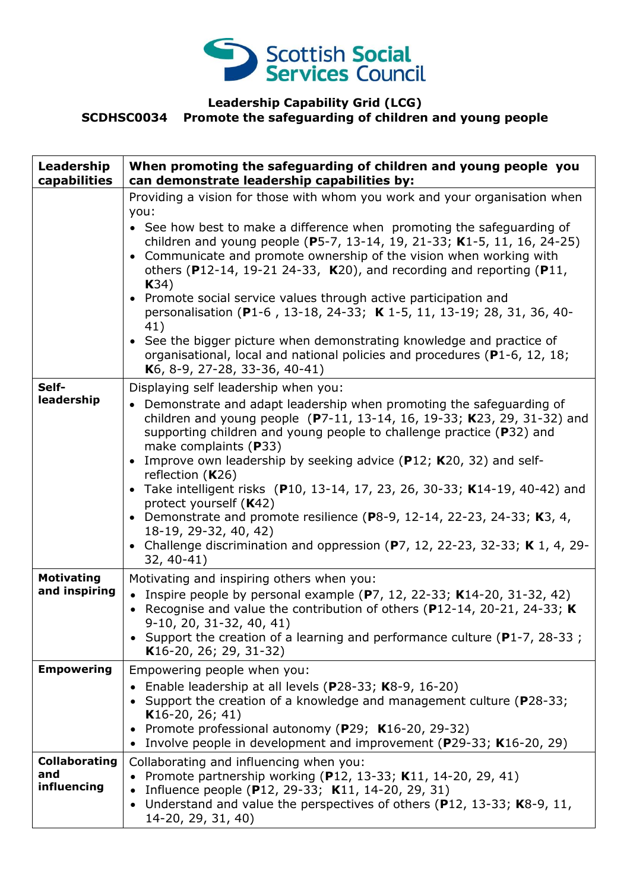

## **Leadership Capability Grid (LCG) SCDHSC0034 Promote the safeguarding of children and young people**

| Leadership<br>capabilities                 | When promoting the safeguarding of children and young people you<br>can demonstrate leadership capabilities by:                                                                                                                                                                                                                                                                                                                                                                                                                                                                                                                                                                                                                            |
|--------------------------------------------|--------------------------------------------------------------------------------------------------------------------------------------------------------------------------------------------------------------------------------------------------------------------------------------------------------------------------------------------------------------------------------------------------------------------------------------------------------------------------------------------------------------------------------------------------------------------------------------------------------------------------------------------------------------------------------------------------------------------------------------------|
|                                            | Providing a vision for those with whom you work and your organisation when<br>you:<br>• See how best to make a difference when promoting the safeguarding of<br>children and young people (P5-7, 13-14, 19, 21-33; K1-5, 11, 16, 24-25)<br>• Communicate and promote ownership of the vision when working with<br>others (P12-14, 19-21 24-33, K20), and recording and reporting (P11,<br>K34)<br>• Promote social service values through active participation and<br>personalisation (P1-6, 13-18, 24-33; K 1-5, 11, 13-19; 28, 31, 36, 40-<br>41)<br>• See the bigger picture when demonstrating knowledge and practice of<br>organisational, local and national policies and procedures (P1-6, 12, 18;<br>K6, 8-9, 27-28, 33-36, 40-41) |
| Self-<br>leadership                        | Displaying self leadership when you:<br>Demonstrate and adapt leadership when promoting the safeguarding of<br>children and young people (P7-11, 13-14, 16, 19-33; K23, 29, 31-32) and<br>supporting children and young people to challenge practice (P32) and<br>make complaints (P33)<br>• Improve own leadership by seeking advice (P12; K20, 32) and self-<br>reflection $(K26)$<br>• Take intelligent risks (P10, 13-14, 17, 23, 26, 30-33; K14-19, 40-42) and<br>protect yourself (K42)<br>Demonstrate and promote resilience (P8-9, 12-14, 22-23, 24-33; K3, 4,<br>$\bullet$<br>18-19, 29-32, 40, 42)<br>• Challenge discrimination and oppression (P7, 12, 22-23, 32-33; K 1, 4, 29-<br>$32, 40-41)$                               |
| <b>Motivating</b><br>and inspiring         | Motivating and inspiring others when you:<br>Inspire people by personal example $(P7, 12, 22-33; K14-20, 31-32, 42)$<br>$\bullet$<br>Recognise and value the contribution of others (P12-14, 20-21, 24-33; $K$<br>$9-10$ , 20, 31-32, 40, 41)<br>• Support the creation of a learning and performance culture (P1-7, 28-33;<br>K16-20, 26; 29, 31-32)                                                                                                                                                                                                                                                                                                                                                                                      |
| <b>Empowering</b>                          | Empowering people when you:<br>Enable leadership at all levels (P28-33; K8-9, 16-20)<br>Support the creation of a knowledge and management culture (P28-33;<br>$K16-20, 26; 41)$<br>Promote professional autonomy (P29; K16-20, 29-32)<br>Involve people in development and improvement (P29-33; K16-20, 29)<br>$\bullet$                                                                                                                                                                                                                                                                                                                                                                                                                  |
| <b>Collaborating</b><br>and<br>influencing | Collaborating and influencing when you:<br>Promote partnership working (P12, 13-33; K11, 14-20, 29, 41)<br>Influence people (P12, 29-33; K11, 14-20, 29, 31)<br>Understand and value the perspectives of others (P12, 13-33; K8-9, 11,<br>$\bullet$<br>14-20, 29, 31, 40)                                                                                                                                                                                                                                                                                                                                                                                                                                                                  |